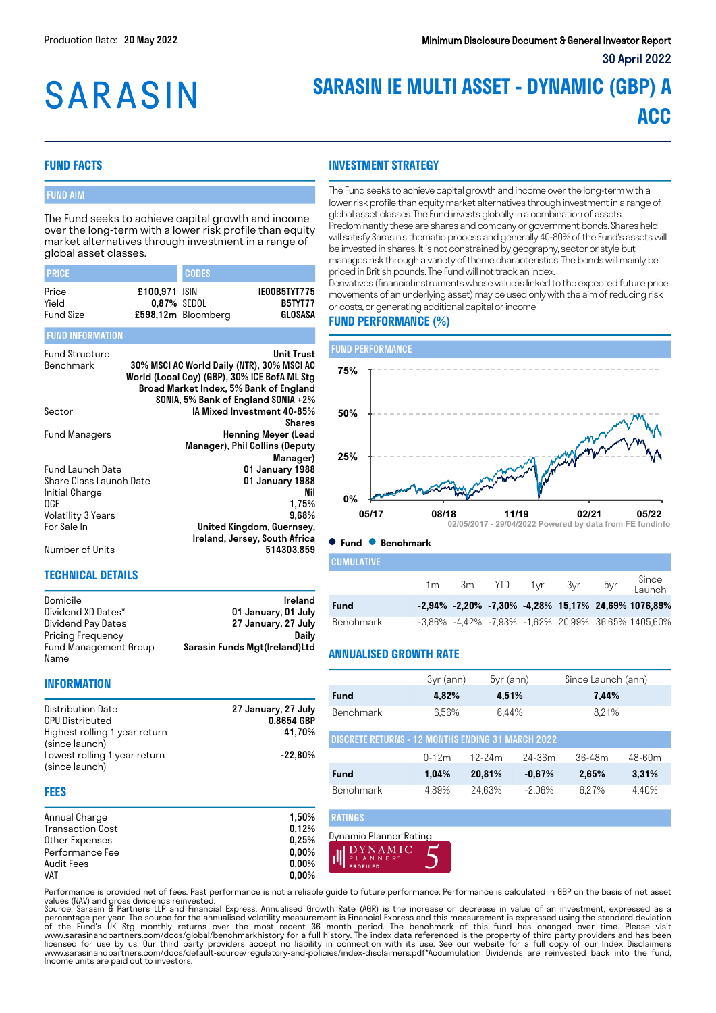# **SARASIN**

### **SARASIN IE MULTI ASSET - DYNAMIC (GBP) A ACC**

#### **FUND FACTS**

#### FUND AIM

The Fund seeks to achieve capital growth and income over the long-term with a lower risk profile than equity market alternatives through investment in a range of global asset classes.

| <b>PRICE</b>     |                              | <b>CODES</b>       |                                |
|------------------|------------------------------|--------------------|--------------------------------|
| Price<br>Yield   | £100.971 ISIN<br>0.87% SEDOL |                    | IE00B5TYT775<br><b>B5TYT77</b> |
| <b>Fund Size</b> |                              | £598,12m Bloomberg | GLOSASA                        |

#### FUND INFORMATION

| <b>Fund Structure</b><br>Benchmark | Unit Trust<br>30% MSCI AC World Daily (NTR), 30% MSCI AC<br>World (Local Ccy) (GBP), 30% ICE BofA ML Stg<br>Broad Market Index, 5% Bank of England<br>SONIA, 5% Bank of England SONIA +2% |
|------------------------------------|-------------------------------------------------------------------------------------------------------------------------------------------------------------------------------------------|
| Sector                             | IA Mixed Investment 40-85%                                                                                                                                                                |
|                                    | <b>Shares</b>                                                                                                                                                                             |
| Fund Managers                      | <b>Henning Meyer (Lead</b>                                                                                                                                                                |
|                                    | Manager), Phil Collins (Deputy                                                                                                                                                            |
|                                    | Manager)                                                                                                                                                                                  |
| Fund Launch Date                   | 01 January 1988                                                                                                                                                                           |
| Share Class Launch Date            | 01 January 1988                                                                                                                                                                           |
| Initial Charge                     | Nil                                                                                                                                                                                       |
| 0CF                                | 1,75%                                                                                                                                                                                     |
| Volatility 3 Years                 | 9.68%                                                                                                                                                                                     |
| For Sale In                        | United Kingdom, Guernsey,                                                                                                                                                                 |
|                                    | Ireland, Jersey, South Africa                                                                                                                                                             |
| Number of Units                    | 514303.859                                                                                                                                                                                |

#### **TECHNICAL DETAILS**

| Domicile              | Ireland                       |
|-----------------------|-------------------------------|
| Dividend XD Dates*    | 01 January, 01 July           |
| Dividend Pay Dates    | 27 January, 27 July           |
| Pricing Frequency     | Dailv                         |
| Fund Management Group | Sarasin Funds Mgt(Ireland)Ltd |
| Name                  |                               |

#### **INVESTMENT STRATEGY**

The Fund seeks to achieve capital growth and income over the long-term with a lower risk profile than equity market alternatives through investment in a range of global asset classes. The Fund invests globally in a combination of assets. Predominantly these are shares and company or government bonds. Shares held will satisfy Sarasin's thematic process and generally 40-80% of the Fund's assets will be invested in shares. It is not constrained by geography, sector or style but manages risk through a variety of theme characteristics. The bonds will mainly be priced in British pounds. The Fund will not track an index.

Derivatives (financial instruments whose value is linked to the expected future price movements of an underlying asset) may be used only with the aim of reducing risk or costs, or generating additional capital or income

#### **FUND PERFORMANCE (%)**



**Fund Benchmark**

| I CUMULATIVE |  |  |                   |     |                                                    |
|--------------|--|--|-------------------|-----|----------------------------------------------------|
|              |  |  | 1 m3m YTD 1yr 3yr | 5yr | Since<br>Launch                                    |
| Fund         |  |  |                   |     | -2,94% -2,20% -7,30% -4,28% 15,17% 24,69% 1076,89% |
|              |  |  |                   |     |                                                    |

#### **ANNUALISED GROWTH RATE**

|  | <b>INFORMATION</b> |  |
|--|--------------------|--|
|  |                    |  |

| Distribution Date<br><b>CPU Distributed</b>     | 27 January, 27 July<br>0.8654 GBP |
|-------------------------------------------------|-----------------------------------|
| Highest rolling 1 year return<br>(since launch) | 41.70%                            |
| Lowest rolling 1 year return<br>(since launch)  | $-22.80\%$                        |

|                                                          | 3yr (ann) | $5yr$ (ann) |           | Since Launch (ann) |            |
|----------------------------------------------------------|-----------|-------------|-----------|--------------------|------------|
| Fund                                                     | 4,82%     | 4,51%       |           | 7,44%              |            |
| Benchmark                                                | 6,56%     | 6.44%       |           | 8,21%              |            |
| <b>DISCRETE RETURNS - 12 MONTHS ENDING 31 MARCH 2022</b> |           |             |           |                    |            |
|                                                          | $0-12m$   | $12-24m$    | 24-36m    | $36 - 48m$         | $48 - 60m$ |
| Fund                                                     | 1.04%     | 20.81%      | $-0.67%$  | 2.65%              | 3.31%      |
| Benchmark                                                | 4.89%     | 24.63%      | $-2.06\%$ | 6.27%              | 4.40%      |

#### **FEES**

| 1.50%    |
|----------|
| 0,12%    |
| 0.25%    |
| $0.00\%$ |
| $0,00\%$ |
| $0.00\%$ |
|          |



Performance is provided net of fees. Past performance is not a reliable guide to future performance. Performance is calculated in GBP on the basis of net asset values (NAV) and gross dividends reinvested.<br>Source: Sarasin & Partners LLP and Financial Express. Annualised Growth Rate (AGR) is the increase or decrease in value of an investment, expressed as a

RATINGS

percentage per year. The source for the annualised volatility measurement is Financial Express and this measurement is expressed using the standard deviation of the Fund's UK Stg monthly returns over the most recent 36 month period. The benchmark of this fund has changed over time. Please visit<br>www.sarasinandpartners.com/docs/global/benchmarkhistory for a full history.The index Income units are paid out to investors.